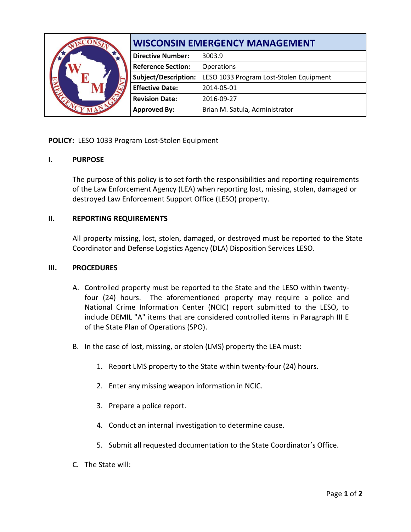|  | <b>WISCONSIN EMERGENCY MANAGEMENT</b> |                                         |
|--|---------------------------------------|-----------------------------------------|
|  | <b>Directive Number:</b>              | 3003.9                                  |
|  | <b>Reference Section:</b>             | Operations                              |
|  | Subject/Description:                  | LESO 1033 Program Lost-Stolen Equipment |
|  | <b>Effective Date:</b>                | 2014-05-01                              |
|  | <b>Revision Date:</b>                 | 2016-09-27                              |
|  | <b>Approved By:</b>                   | Brian M. Satula, Administrator          |

# **POLICY:** LESO 1033 Program Lost-Stolen Equipment

## **I. PURPOSE**

The purpose of this policy is to set forth the responsibilities and reporting requirements of the Law Enforcement Agency (LEA) when reporting lost, missing, stolen, damaged or destroyed Law Enforcement Support Office (LESO) property.

## **II. REPORTING REQUIREMENTS**

All property missing, lost, stolen, damaged, or destroyed must be reported to the State Coordinator and Defense Logistics Agency (DLA) Disposition Services LESO.

### **III. PROCEDURES**

- A. Controlled property must be reported to the State and the LESO within twentyfour (24) hours. The aforementioned property may require a police and National Crime Information Center (NCIC) report submitted to the LESO, to include DEMIL "A" items that are considered controlled items in Paragraph III E of the State Plan of Operations (SPO).
- B. In the case of lost, missing, or stolen (LMS) property the LEA must:
	- 1. Report LMS property to the State within twenty-four (24) hours.
	- 2. Enter any missing weapon information in NCIC.
	- 3. Prepare a police report.
	- 4. Conduct an internal investigation to determine cause.
	- 5. Submit all requested documentation to the State Coordinator's Office.
- C. The State will: